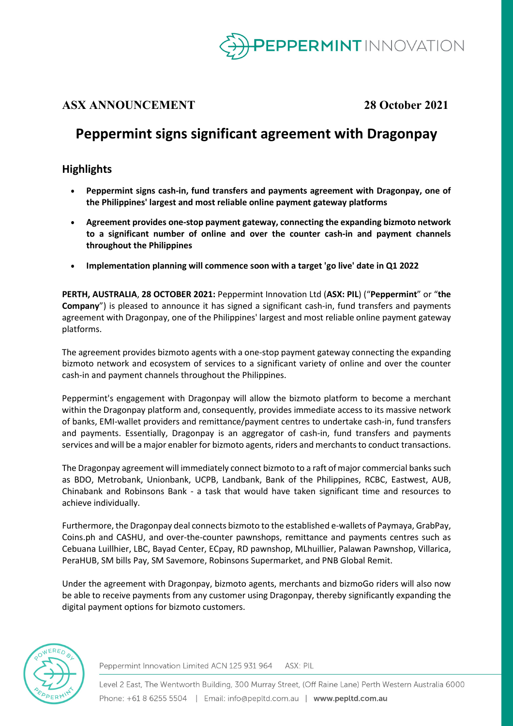

## **ASX ANNOUNCEMENT 28 October 2021**

# **Peppermint signs significant agreement with Dragonpay**

## **Highlights**

- **Peppermint signs cash-in, fund transfers and payments agreement with Dragonpay, one of the Philippines' largest and most reliable online payment gateway platforms**
- **Agreement provides one-stop payment gateway, connecting the expanding bizmoto network to a significant number of online and over the counter cash-in and payment channels throughout the Philippines**
- **Implementation planning will commence soon with a target 'go live' date in Q1 2022**

**PERTH, AUSTRALIA**, **28 OCTOBER 2021:** Peppermint Innovation Ltd (**ASX: PIL**) ("**Peppermint**" or "**the Company**") is pleased to announce it has signed a significant cash-in, fund transfers and payments agreement with Dragonpay, one of the Philippines' largest and most reliable online payment gateway platforms.

The agreement provides bizmoto agents with a one-stop payment gateway connecting the expanding bizmoto network and ecosystem of services to a significant variety of online and over the counter cash-in and payment channels throughout the Philippines.

Peppermint's engagement with Dragonpay will allow the bizmoto platform to become a merchant within the Dragonpay platform and, consequently, provides immediate access to its massive network of banks, EMI-wallet providers and remittance/payment centres to undertake cash-in, fund transfers and payments. Essentially, Dragonpay is an aggregator of cash-in, fund transfers and payments services and will be a major enabler for bizmoto agents, riders and merchants to conduct transactions.

The Dragonpay agreement will immediately connect bizmoto to a raft of major commercial banks such as BDO, Metrobank, Unionbank, UCPB, Landbank, Bank of the Philippines, RCBC, Eastwest, AUB, Chinabank and Robinsons Bank - a task that would have taken significant time and resources to achieve individually.

Furthermore, the Dragonpay deal connects bizmoto to the established e-wallets of Paymaya, GrabPay, Coins.ph and CASHU, and over-the-counter pawnshops, remittance and payments centres such as Cebuana Luillhier, LBC, Bayad Center, ECpay, RD pawnshop, MLhuillier, Palawan Pawnshop, Villarica, PeraHUB, SM bills Pay, SM Savemore, Robinsons Supermarket, and PNB Global Remit.

Under the agreement with Dragonpay, bizmoto agents, merchants and bizmoGo riders will also now be able to receive payments from any customer using Dragonpay, thereby significantly expanding the digital payment options for bizmoto customers.



Peppermint Innovation Limited ACN 125 931 964 ASX: PIL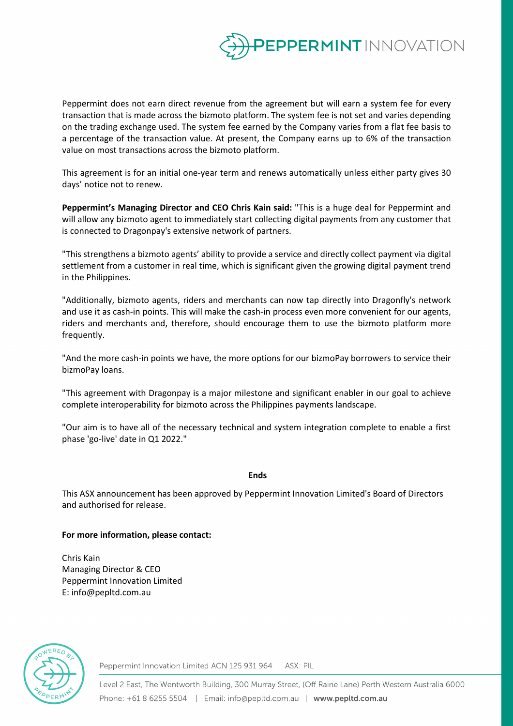

Peppermint does not earn direct revenue from the agreement but will earn a system fee for every transaction that is made across the bizmoto platform. The system fee is not set and varies depending on the trading exchange used. The system fee earned by the Company varies from a flat fee basis to a percentage of the transaction value. At present, the Company earns up to 6% of the transaction value on most transactions across the bizmoto platform.

This agreement is for an initial one-year term and renews automatically unless either party gives 30 days' notice not to renew.

**Peppermint's Managing Director and CEO Chris Kain said:** "This is a huge deal for Peppermint and will allow any bizmoto agent to immediately start collecting digital payments from any customer that is connected to Dragonpay's extensive network of partners.

"This strengthens a bizmoto agents' ability to provide a service and directly collect payment via digital settlement from a customer in real time, which is significant given the growing digital payment trend in the Philippines.

"Additionally, bizmoto agents, riders and merchants can now tap directly into Dragonfly's network and use it as cash-in points. This will make the cash-in process even more convenient for our agents, riders and merchants and, therefore, should encourage them to use the bizmoto platform more frequently.

"And the more cash-in points we have, the more options for our bizmoPay borrowers to service their bizmoPay loans.

"This agreement with Dragonpay is a major milestone and significant enabler in our goal to achieve complete interoperability for bizmoto across the Philippines payments landscape.

"Our aim is to have all of the necessary technical and system integration complete to enable a first phase 'go-live' date in Q1 2022."

## **Ends**

This ASX announcement has been approved by Peppermint Innovation Limited's Board of Directors and authorised for release.

## **For more information, please contact:**

Chris Kain Managing Director & CEO Peppermint Innovation Limited E: info@pepltd.com.au



Peppermint Innovation Limited ACN 125 931 964 ASX: PIL

Level 2 East, The Wentworth Building, 300 Murray Street, (Off Raine Lane) Perth Western Australia 6000 Phone: +61 8 6255 5504 | Email: info@pepltd.com.au | www.pepltd.com.au